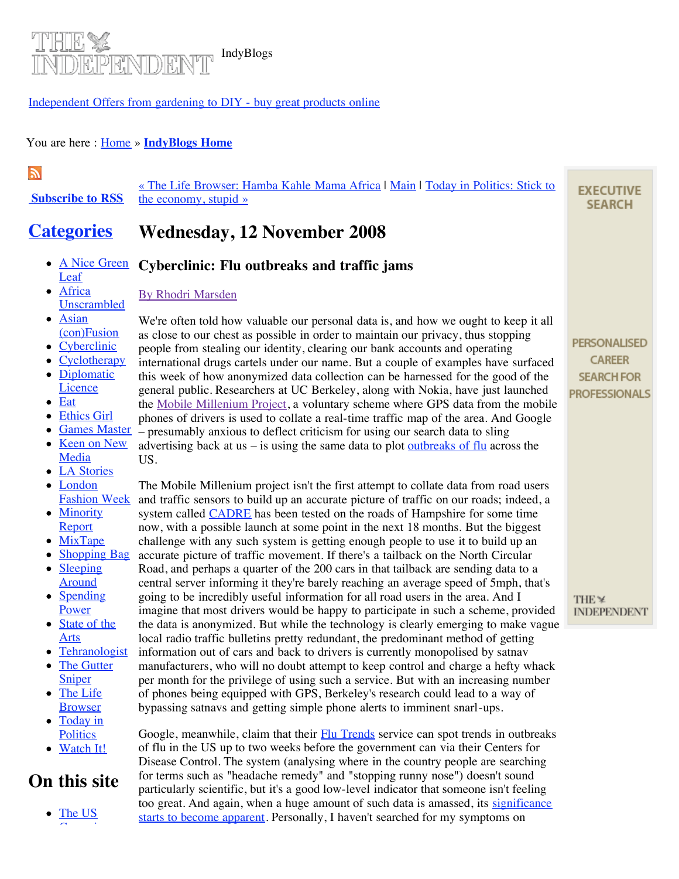

### [Independent Offers from gardening to DIY - buy great products online](http://www.independentoffers.co.uk/)

#### You are here : **Home** » **[IndyBlogs Home](http://blogs.independent.co.uk/independent/)**

## $\mathbb{Z}$

 **[Subscribe to RSS](http://blogs.independent.co.uk/openhouse/2007/06/rss-feeds.html)** [« The Life Browser: Hamba Kahle Mama Africa | Main](http://blogs.independent.co.uk/independent/2008/11/today-in-poli-6.html) | Today in Politics: Stick to the economy, stupid »

#### **[Categories](http://blogs.independent.co.uk/openhouse/2007/06/rss-feeds.html) Wednesday, 12 November 2008**

- [A Nice Green](http://blogs.independent.co.uk/independent/a_nice_green_leaf/) **Cyberclinic: Flu outbreaks and traffic jams Leaf**
- Africa **[Unscrambled](http://blogs.independent.co.uk/independent/africa_unscrambled/)**
- Asian [\(con\)Fusion](http://blogs.independent.co.uk/independent/asian_confusion/)
- [Cyberclinic](http://blogs.independent.co.uk/independent/cyberclinic/)
- [Cyclotherapy](http://blogs.independent.co.uk/independent/cyclotherapy/)
- [Diplomatic](http://blogs.independent.co.uk/independent/diplomatic_licence/) **Licence**
- [Eat](http://blogs.independent.co.uk/independent/eat/)
- [Ethics Girl](http://blogs.independent.co.uk/independent/ethics_girl/)
- [Games Master](http://blogs.independent.co.uk/independent/games_mistress/)
- [Keen on New](http://blogs.independent.co.uk/independent/keen_on_new_media-1/) Media
- [LA Stories](http://blogs.independent.co.uk/independent/la_stories/)
- London [Fashion Week](http://blogs.independent.co.uk/independent/london_fashion_week/)
- [Minority](http://blogs.independent.co.uk/independent/minority_report/) Report
- [MixTape](http://blogs.independent.co.uk/independent/mixtape/)
- [Shopping Bag](http://blogs.independent.co.uk/independent/talking_shop/)
- [Sleeping](http://blogs.independent.co.uk/independent/sleeping_around/)
- Around • [Spending](http://blogs.independent.co.uk/independent/spending_power/)
- Power • [State of the](http://blogs.independent.co.uk/independent/art_world/)
- Arts • [Tehranologist](http://blogs.independent.co.uk/independent/tehranologist/)
- [The Gutter](http://blogs.independent.co.uk/independent/the_gutter_sniper/) **Sniper**
- [The Life](http://blogs.independent.co.uk/independent/wild_wild_web/) Browser
- [Today in](http://blogs.independent.co.uk/independent/today_in_politics/) **Politics**
- [Watch It!](http://blogs.independent.co.uk/independent/watch_it/)

# **On this site**

• [The US](http://blogs.independent.co.uk/the_campaign_trailers/)  $\mathcal{C}$  can be a set of  $\mathcal{C}$ 

[By Rhodri Marsden](http://indyblogs.typepad.com/independent/rhodri-marsden.html) We're often told how valuable our personal data is, and how we ought to keep it all as close to our chest as possible in order to maintain our privacy, thus stopping people from stealing our identity, clearing our bank accounts and operating international drugs cartels under our name. But a couple of examples have surfaced this week of how anonymized data collection can be harnessed for the good of the general public. Researchers at UC Berkeley, along with Nokia, have just launched

the [Mobile Millenium Project,](http://traffic.berkeley.edu/) a voluntary scheme where GPS data from the mobile phones of drivers is used to collate a real-time traffic map of the area. And Google – presumably anxious to deflect criticism for using our search data to sling

advertising back at us – is using the same data to plot <u>[outbreaks of flu](http://www.google.org/flutrends/)</u> across the US.

The Mobile Millenium project isn't the first attempt to collate data from road users and traffic sensors to build up an accurate picture of traffic on our roads; indeed, a system called **CADRE** has been tested on the roads of Hampshire for some time now, with a possible launch at some point in the next 18 months. But the biggest challenge with any such system is getting enough people to use it to build up an accurate picture of traffic movement. If there's a tailback on the North Circular Road, and perhaps a quarter of the 200 cars in that tailback are sending data to a central server informing it they're barely reaching an average speed of 5mph, that's going to be incredibly useful information for all road users in the area. And I imagine that most drivers would be happy to participate in such a scheme, provided the data is anonymized. But while the technology is clearly emerging to make vague local radio traffic bulletins pretty redundant, the predominant method of getting information out of cars and back to drivers is currently monopolised by satnav manufacturers, who will no doubt attempt to keep control and charge a hefty whack per month for the privilege of using such a service. But with an increasing number of phones being equipped with GPS, Berkeley's research could lead to a way of bypassing satnavs and getting simple phone alerts to imminent snarl-ups.

Google, meanwhile, claim that their [Flu Trends](http://www.google.org/flutrends/) service can spot trends in outbreaks of flu in the US up to two weeks before the government can via their Centers for Disease Control. The system (analysing where in the country people are searching for terms such as "headache remedy" and "stopping runny nose") doesn't sound particularly scientific, but it's a good low-level indicator that someone isn't feeling [too great. And again, when a huge amount of such data is amassed, its significance](http://www.google.org/about/flutrends/how.html) starts to become apparent. Personally, I haven't searched for my symptoms on

**EXECUTIVE SEARCH** 

**PERSONALISED CAREER SEARCH FOR PROFESSIONALS** 

THE ¥ **INDEPENDENT**